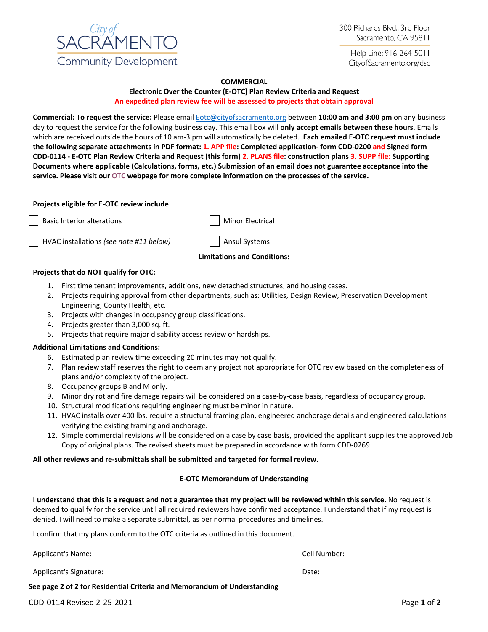

Help Line: 916-264-5011 CityofSacramento.org/dsd

## **COMMERCIAL**

### **Electronic Over the Counter (E-OTC) Plan Review Criteria and Request An expedited plan review fee will be assessed to projects that obtain approval**

**Commercial: To request the service:** Please email [Eotc@cityofsacramento.org](mailto:Eotc@cityofsacramento.org) between **10:00 am and 3:00 pm** on any business day to request the service for the following business day. This email box will **only accept emails between these hours**. Emails which are received outside the hours of 10 am-3 pm will automatically be deleted. **Each emailed E-OTC request must include the following separate attachments in PDF format: 1. APP file: Completed application- form CDD-0200 and Signed form CDD-0114 - E-OTC Plan Review Criteria and Request (this form) 2. PLANS file: construction plans 3. SUPP file: Supporting Documents where applicable (Calculations, forms, etc.) Submission of an email does not guarantee acceptance into the [servi](http://www.cityofsacramento.org/Community-Development/Building/Plan-Review/OTC-Review)ce. Please visit our OTC webpage for more complete information on the processes of the service.** 

### **Projects eligible for E-OTC review include**

Basic Interior alterations Minor Electrical

HVAC installations (see note #11 below) | | Ansul Systems

## **Limitations and Conditions:**

### **Projects that do NOT qualify for OTC:**

- 1. First time tenant improvements, additions, new detached structures, and housing cases.
- 2. Projects requiring approval from other departments, such as: Utilities, Design Review, Preservation Development Engineering, County Health, etc.
- 3. Projects with changes in occupancy group classifications.
- 4. Projects greater than 3,000 sq. ft.
- 5. Projects that require major disability access review or hardships.

## **Additional Limitations and Conditions:**

- 6. Estimated plan review time exceeding 20 minutes may not qualify.
- 7. Plan review staff reserves the right to deem any project not appropriate for OTC review based on the completeness of plans and/or complexity of the project.
- 8. Occupancy groups B and M only.
- 9. Minor dry rot and fire damage repairs will be considered on a case-by-case basis, regardless of occupancy group.
- 10. Structural modifications requiring engineering must be minor in nature.
- 11. HVAC installs over 400 lbs. require a structural framing plan, engineered anchorage details and engineered calculations verifying the existing framing and anchorage.
- 12. Simple commercial revisions will be considered on a case by case basis, provided the applicant supplies the approved Job Copy of original plans. The revised sheets must be prepared in accordance with form CDD-0269.

#### **All other reviews and re-submittals shall be submitted and targeted for formal review.**

#### **E-OTC Memorandum of Understanding**

**I understand that this is a request and not a guarantee that my project will be reviewed within this service.** No request is deemed to qualify for the service until all required reviewers have confirmed acceptance. I understand that if my request is denied, I will need to make a separate submittal, as per normal procedures and timelines.

I confirm that my plans conform to the OTC criteria as outlined in this document.

| <b>Applicant's Name:</b>                                                 | Cell Number: |  |
|--------------------------------------------------------------------------|--------------|--|
| Applicant's Signature:                                                   | Date:        |  |
| See page 2 of 2 for Residential Criteria and Memorandum of Understanding |              |  |